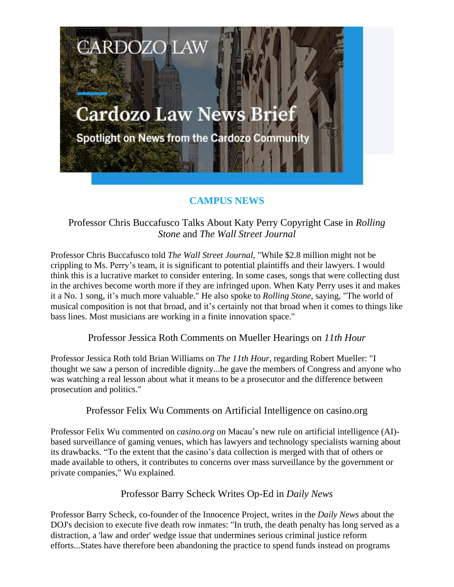

# **CAMPUS NEWS**

# Professor Chris Buccafusco Talks About Katy Perry Copyright Case in *Rolling Stone* and *The Wall Street Journal*

Professor Chris Buccafusco told *The Wall Street Journal*, "While \$2.8 million might not be crippling to Ms. Perry's team, it is significant to potential plaintiffs and their lawyers. I would think this is a lucrative market to consider entering. In some cases, songs that were collecting dust in the archives become worth more if they are infringed upon. When Katy Perry uses it and makes it a No. 1 song, it's much more valuable." He also spoke to *Rolling Stone*, saying, "The world of musical composition is not that broad, and it's certainly not that broad when it comes to things like bass lines. Most musicians are working in a finite innovation space."

Professor Jessica Roth Comments on Mueller Hearings on *11th Hour*

Professor Jessica Roth told Brian Williams on *The 11th Hour*, regarding Robert Mueller: "I thought we saw a person of incredible dignity...he gave the members of Congress and anyone who was watching a real lesson about what it means to be a prosecutor and the difference between prosecution and politics."

### Professor Felix Wu Comments on Artificial Intelligence on casino.org

Professor Felix Wu commented on *casino.org* on Macau's new rule on artificial intelligence (AI) based surveillance of gaming venues, which has lawyers and technology specialists warning about its drawbacks. "To the extent that the casino's data collection is merged with that of others or made available to others, it contributes to concerns over mass surveillance by the government or private companies," Wu explained.

## Professor Barry Scheck Writes Op-Ed in *Daily News*

Professor Barry Scheck, co-founder of the Innocence Project, writes in the *Daily News* about the DOJ's decision to execute five death row inmates: "In truth, the death penalty has long served as a distraction, a 'law and order' wedge issue that undermines serious criminal justice reform efforts...States have therefore been abandoning the practice to spend funds instead on programs